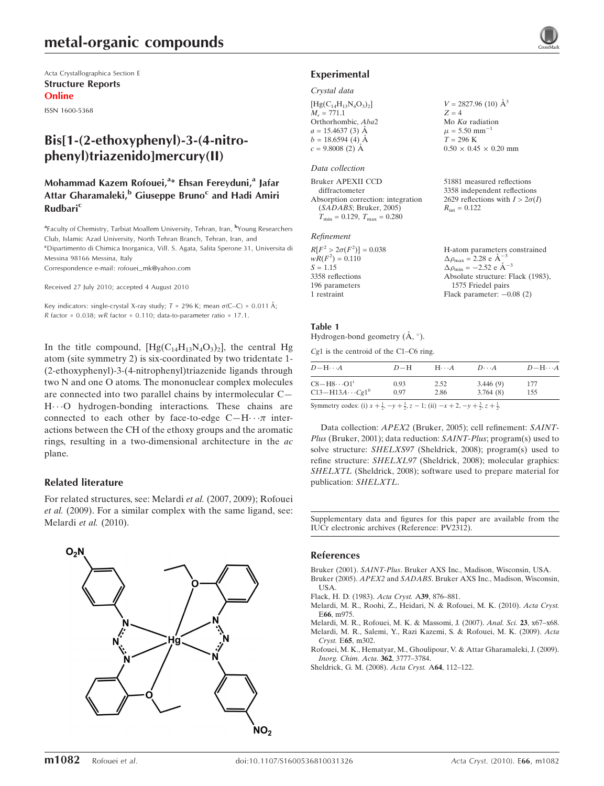# metal-organic compounds

Acta Crystallographica Section E Structure Reports Online

ISSN 1600-5368

# Bis[1-(2-ethoxyphenyl)-3-(4-nitrophenyl)triazenido]mercury(II)

## Mohammad Kazem Rofouei,<sup>a</sup>\* Ehsan Fereyduni,<sup>a</sup> Jafar Attar Gharamaleki,<sup>b</sup> Giuseppe Bruno<sup>c</sup> and Hadi Amiri **Rudbari<sup>c</sup>**

<sup>a</sup>Faculty of Chemistry, Tarbiat Moallem University, Tehran, Iran, <sup>b</sup>Young Researchers Club, Islamic Azad University, North Tehran Branch, Tehran, Iran, and <sup>c</sup>Dipartimento di Chimica Inorganica, Vill. S. Agata, Salita Sperone 31, Universita di Messina 98166 Messina, Italy

Correspondence e-mail: rofouei\_mk@yahoo.com

Received 27 July 2010; accepted 4 August 2010

Key indicators: single-crystal X-ray study;  $T = 296$  K; mean  $\sigma$ (C–C) = 0.011 Å;  $R$  factor = 0.038; wR factor = 0.110; data-to-parameter ratio = 17.1.

In the title compound,  $[Hg(C_{14}H_{13}N_4O_3)_2]$ , the central Hg atom (site symmetry 2) is six-coordinated by two tridentate 1- (2-ethoxyphenyl)-3-(4-nitrophenyl)triazenide ligands through two N and one O atoms. The mononuclear complex molecules are connected into two parallel chains by intermolecular C— H...O hydrogen-bonding interactions. These chains are connected to each other by face-to-edge  $C-H \cdot \cdot \pi$  interactions between the CH of the ethoxy groups and the aromatic rings, resulting in a two-dimensional architecture in the ac plane.

### Related literature

For related structures, see: Melardi et al. (2007, 2009); Rofouei et al. (2009). For a similar complex with the same ligand, see: Melardi et al. (2010).



### Experimental

### Crystal data

| $[Hg(C_{14}H_{13}N_4O_3)_2]$<br>$M_r = 771.1$ |  |
|-----------------------------------------------|--|
| Orthorhombic, Aba2                            |  |
| $a = 15.4637(3)$ Å                            |  |
| $b = 18.6594(4)$ Å                            |  |
| $c = 9.8008$ (2) Å                            |  |
|                                               |  |

### Data collection

| 51881 measured reflections             |
|----------------------------------------|
| 3358 independent reflections           |
| 2629 reflections with $I > 2\sigma(I)$ |
| $R_{\rm int} = 0.122$                  |
|                                        |
|                                        |

### Refinement

| H-atom parameters constrained                      |
|----------------------------------------------------|
| $\Delta \rho_{\text{max}} = 2.28 \text{ e A}^{-3}$ |
| $\Delta \rho_{\text{min}} = -2.52$ e $\AA^{-3}$    |
| Absolute structure: Flack (1983),                  |
| 1575 Friedel pairs                                 |
| Flack parameter: $-0.08$ (2)                       |
|                                                    |

 $V = 2827.96$  (10)  $\AA^3$ 

 $0.50 \times 0.45 \times 0.20$  mm

 $Z = 4$ Mo  $K\alpha$  radiation  $\mu = 5.50$  mm<sup>-</sup>  $T = 296 K$ 

### Table 1

Hydrogen-bond geometry (Å, °).

Cg1 is the centroid of the C1–C6 ring.

| $D$ -H $\cdots$ A                                                                                                               | $D-H$        | $H \cdots A$ | $D\cdots A$          | $D - H \cdots A$ |
|---------------------------------------------------------------------------------------------------------------------------------|--------------|--------------|----------------------|------------------|
| $C8 - H8 \cdots O1$ <sup>i</sup><br>$C13 - H13A \cdots Cg1$ <sup>ii</sup>                                                       | 0.93<br>0.97 | 2.52<br>2.86 | 3.446(9)<br>3.764(8) | 177<br>155       |
| Symmetry codes: (i) $x + \frac{1}{2}$ , $-y + \frac{3}{2}$ , $z - 1$ ; (ii) $-x + 2$ , $-y + \frac{3}{2}$ , $z + \frac{1}{2}$ . |              |              |                      |                  |

Data collection: APEX2 (Bruker, 2005); cell refinement: SAINT-Plus (Bruker, 2001); data reduction: SAINT-Plus; program(s) used to solve structure: SHELXS97 (Sheldrick, 2008); program(s) used to refine structure: SHELXL97 (Sheldrick, 2008); molecular graphics: SHELXTL (Sheldrick, 2008); software used to prepare material for publication: SHELXTL.

Supplementary data and figures for this paper are available from the IUCr electronic archives (Reference: PV2312).

### References

- Bruker (2001). SAINT-Plus[. Bruker AXS Inc., Madison, Wisconsin, USA.](https://scripts.iucr.org/cgi-bin/cr.cgi?rm=pdfbb&cnor=pv2312&bbid=BB2)
- Bruker (2005). APEX2 and SADABS[. Bruker AXS Inc., Madison, Wisconsin,](https://scripts.iucr.org/cgi-bin/cr.cgi?rm=pdfbb&cnor=pv2312&bbid=BB1) [USA.](https://scripts.iucr.org/cgi-bin/cr.cgi?rm=pdfbb&cnor=pv2312&bbid=BB1)
- [Flack, H. D. \(1983\).](https://scripts.iucr.org/cgi-bin/cr.cgi?rm=pdfbb&cnor=pv2312&bbid=BB3) Acta Cryst. A39, 876–881.
- [Melardi, M. R., Roohi, Z., Heidari, N. & Rofouei, M. K. \(2010\).](https://scripts.iucr.org/cgi-bin/cr.cgi?rm=pdfbb&cnor=pv2312&bbid=BB4) Acta Cryst. E66[, m975.](https://scripts.iucr.org/cgi-bin/cr.cgi?rm=pdfbb&cnor=pv2312&bbid=BB4)
- [Melardi, M. R., Rofouei, M. K. & Massomi, J. \(2007\).](https://scripts.iucr.org/cgi-bin/cr.cgi?rm=pdfbb&cnor=pv2312&bbid=BB5) Anal. Sci. 23, x67–x68. [Melardi, M. R., Salemi, Y., Razi Kazemi, S. & Rofouei, M. K. \(2009\).](https://scripts.iucr.org/cgi-bin/cr.cgi?rm=pdfbb&cnor=pv2312&bbid=BB6) Acta
- Cryst. E65[, m302.](https://scripts.iucr.org/cgi-bin/cr.cgi?rm=pdfbb&cnor=pv2312&bbid=BB6) [Rofouei, M. K., Hematyar, M., Ghoulipour, V. & Attar Gharamaleki, J. \(2009\).](https://scripts.iucr.org/cgi-bin/cr.cgi?rm=pdfbb&cnor=pv2312&bbid=BB7) [Inorg. Chim. Acta](https://scripts.iucr.org/cgi-bin/cr.cgi?rm=pdfbb&cnor=pv2312&bbid=BB7). 362, 3777–3784.
- [Sheldrick, G. M. \(2008\).](https://scripts.iucr.org/cgi-bin/cr.cgi?rm=pdfbb&cnor=pv2312&bbid=BB8) Acta Cryst. A64, 112–122.

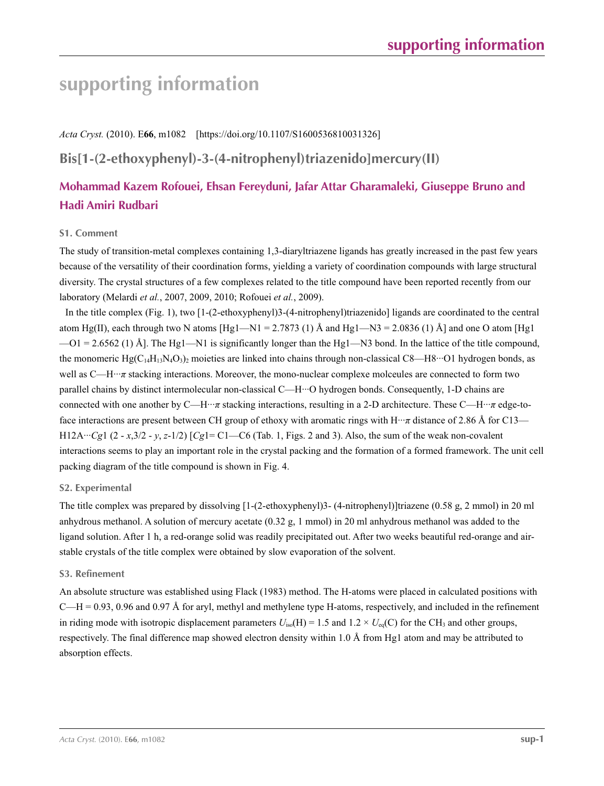# **supporting information**

*Acta Cryst.* (2010). E**66**, m1082 [https://doi.org/10.1107/S1600536810031326]

# **Bis[1-(2-ethoxyphenyl)-3-(4-nitrophenyl)triazenido]mercury(II)**

# **Mohammad Kazem Rofouei, Ehsan Fereyduni, Jafar Attar Gharamaleki, Giuseppe Bruno and Hadi Amiri Rudbari**

## **S1. Comment**

The study of transition-metal complexes containing 1,3-diaryltriazene ligands has greatly increased in the past few years because of the versatility of their coordination forms, yielding a variety of coordination compounds with large structural diversity. The crystal structures of a few complexes related to the title compound have been reported recently from our laboratory (Melardi *et al.*, 2007, 2009, 2010; Rofouei *et al.*, 2009).

In the title complex (Fig. 1), two [1-(2-ethoxyphenyl)3-(4-nitrophenyl)triazenido] ligands are coordinated to the central atom Hg(II), each through two N atoms [Hg1—N1 = 2.7873 (1) Å and Hg1—N3 = 2.0836 (1) Å] and one O atom [Hg1]  $-01 = 2.6562$  (1) Å]. The Hg1—N1 is significantly longer than the Hg1—N3 bond. In the lattice of the title compound, the monomeric Hg( $C_{14}H_{13}N_4O_3$ )<sub>2</sub> moieties are linked into chains through non-classical C8—H8…O1 hydrogen bonds, as well as C—H···*π* stacking interactions. Moreover, the mono-nuclear complexe molceules are connected to form two parallel chains by distinct intermolecular non-classical C—H···O hydrogen bonds. Consequently, 1-D chains are connected with one another by C—H···*π* stacking interactions, resulting in a 2-D architecture. These C—H···*π* edge-toface interactions are present between CH group of ethoxy with aromatic rings with  $H \cdot \cdot \pi$  distance of 2.86 Å for C13— H12A···*Cg*1 (2 - *x*,3/2 - *y*, *z*-1/2) [*Cg*1= C1—C6 (Tab. 1, Figs. 2 and 3). Also, the sum of the weak non-covalent interactions seems to play an important role in the crystal packing and the formation of a formed framework. The unit cell packing diagram of the title compound is shown in Fig. 4.

### **S2. Experimental**

The title complex was prepared by dissolving [1-(2-ethoxyphenyl)3- (4-nitrophenyl)]triazene (0.58 g, 2 mmol) in 20 ml anhydrous methanol. A solution of mercury acetate (0.32 g, 1 mmol) in 20 ml anhydrous methanol was added to the ligand solution. After 1 h, a red-orange solid was readily precipitated out. After two weeks beautiful red-orange and airstable crystals of the title complex were obtained by slow evaporation of the solvent.

### **S3. Refinement**

An absolute structure was established using Flack (1983) method. The H-atoms were placed in calculated positions with  $C-H = 0.93$ , 0.96 and 0.97 Å for aryl, methyl and methylene type H-atoms, respectively, and included in the refinement in riding mode with isotropic displacement parameters  $U_{iso}(H) = 1.5$  and  $1.2 \times U_{eq}(C)$  for the CH<sub>3</sub> and other groups, respectively. The final difference map showed electron density within 1.0 Å from Hg1 atom and may be attributed to absorption effects.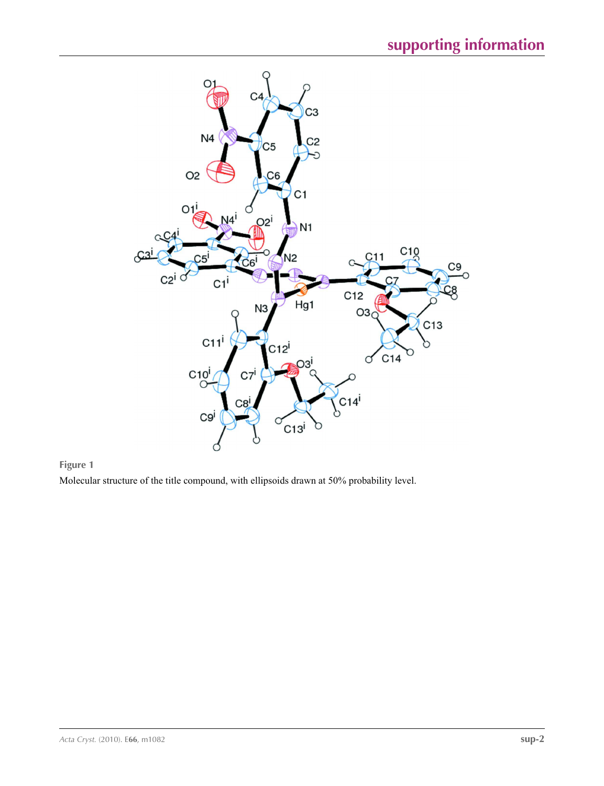

**Figure 1**

Molecular structure of the title compound, with ellipsoids drawn at 50% probability level.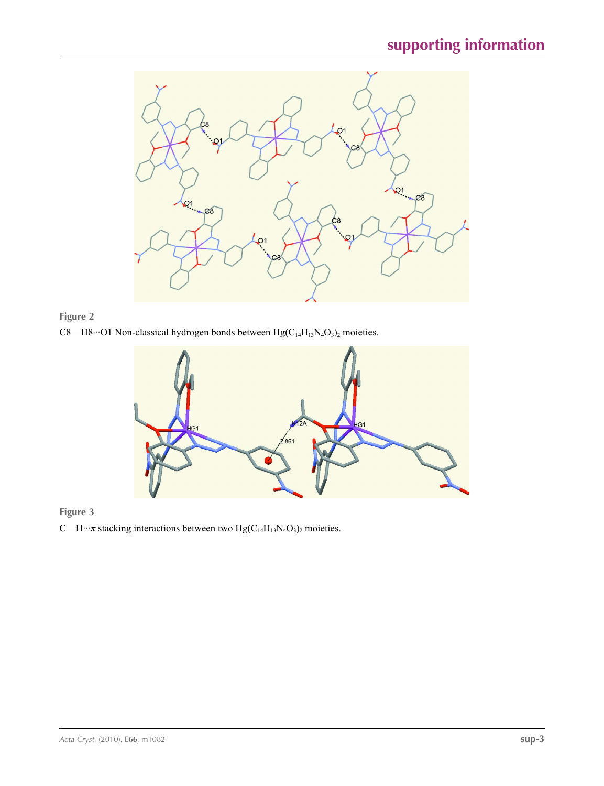







C—H···*π* stacking interactions between two Hg(C<sub>14</sub>H<sub>13</sub>N<sub>4</sub>O<sub>3</sub>)<sub>2</sub> moieties.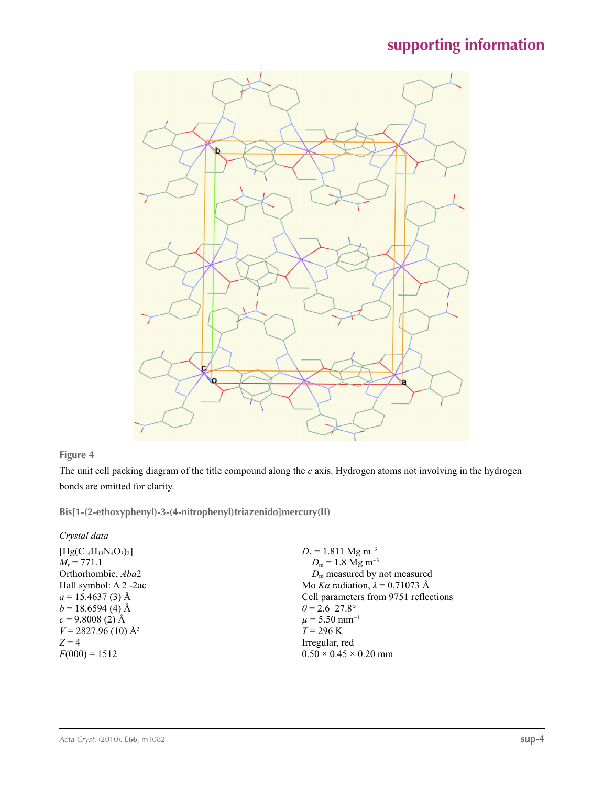

## **Figure 4**

The unit cell packing diagram of the title compound along the *c* axis. Hydrogen atoms not involving in the hydrogen bonds are omitted for clarity.

**Bis[1-(2-ethoxyphenyl)-3-(4-nitrophenyl)triazenido]mercury(II)** 

## *Crystal data*

| $[Hg(C_{14}H_{13}N_4O_3)_2]$     | $D_x = 1.811$ Mg m <sup>-3</sup>       |
|----------------------------------|----------------------------------------|
| $M_r = 771.1$                    | $D_m$ = 1.8 Mg m <sup>-3</sup>         |
| Orthorhombic, Aba2               | $Dm$ measured by not measured          |
| Hall symbol: A 2 -2ac            | Mo Ka radiation, $\lambda = 0.71073$ Å |
| $a = 15.4637(3)$ Å               | Cell parameters from 9751 reflections  |
| $b = 18.6594(4)$ Å               | $\theta = 2.6 - 27.8^{\circ}$          |
| $c = 9.8008(2)$ Å                | $\mu$ = 5.50 mm <sup>-1</sup>          |
| $V = 2827.96(10)$ Å <sup>3</sup> | $T = 296 \text{ K}$                    |
| $Z=4$                            | Irregular, red                         |
| $F(000) = 1512$                  | $0.50 \times 0.45 \times 0.20$ mm      |
|                                  |                                        |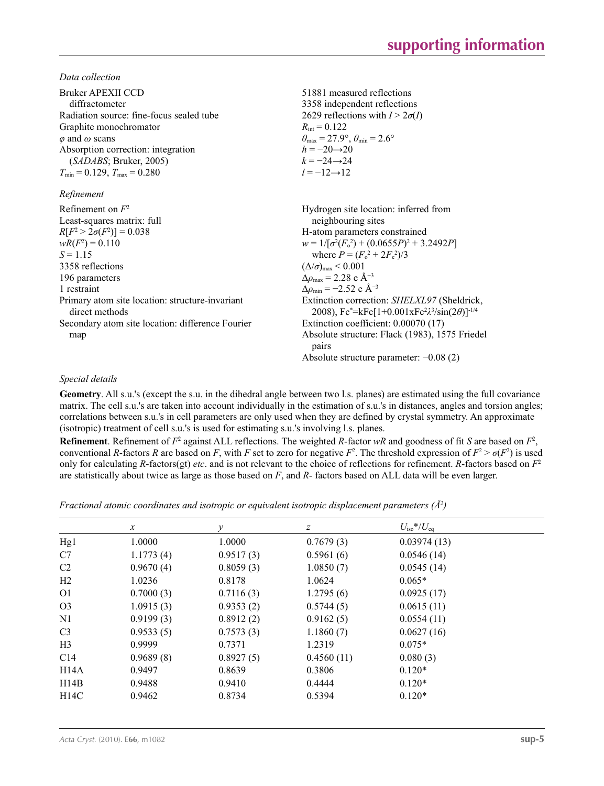*Data collection*

| Bruker APEXII CCD<br>diffractometer<br>Radiation source: fine-focus sealed tube | 51881 measured reflections<br>3358 independent reflections<br>2629 reflections with $I > 2\sigma(I)$                                            |
|---------------------------------------------------------------------------------|-------------------------------------------------------------------------------------------------------------------------------------------------|
| Graphite monochromator                                                          | $R_{\text{int}} = 0.122$                                                                                                                        |
| $\varphi$ and $\omega$ scans                                                    | $\theta_{\text{max}} = 27.9^{\circ}, \theta_{\text{min}} = 2.6^{\circ}$                                                                         |
| Absorption correction: integration                                              | $h = -20 \rightarrow 20$                                                                                                                        |
| (SADABS; Bruker, 2005)                                                          | $k = -24 \rightarrow 24$                                                                                                                        |
| $T_{\text{min}} = 0.129, T_{\text{max}} = 0.280$                                | $l = -12 \rightarrow 12$                                                                                                                        |
| Refinement                                                                      |                                                                                                                                                 |
| Refinement on $F^2$                                                             | Hydrogen site location: inferred from                                                                                                           |
| Least-squares matrix: full                                                      | neighbouring sites                                                                                                                              |
| $R[F^2 > 2\sigma(F^2)] = 0.038$                                                 | H-atom parameters constrained                                                                                                                   |
| $wR(F^2) = 0.110$                                                               | $w = 1/[\sigma^2(F_0^2) + (0.0655P)^2 + 3.2492P]$                                                                                               |
| $S = 1.15$                                                                      | where $P = (F_o^2 + 2F_c^2)/3$                                                                                                                  |
| 3358 reflections                                                                | $(\Delta/\sigma)_{\text{max}}$ < 0.001                                                                                                          |
| 196 parameters                                                                  | $\Delta\rho_{\text{max}}$ = 2.28 e Å <sup>-3</sup>                                                                                              |
| 1 restraint                                                                     | $\Delta\rho_{\rm min} = -2.52 \text{ e } \text{\AA}^{-3}$                                                                                       |
| Primary atom site location: structure-invariant<br>direct methods               | Extinction correction: SHELXL97 (Sheldrick,<br>2008), Fc*=kFc[1+0.001xFc <sup>2</sup> $\lambda$ <sup>3</sup> /sin(2 $\theta$ )] <sup>-1/4</sup> |
| Secondary atom site location: difference Fourier                                | Extinction coefficient: 0.00070 (17)                                                                                                            |
| map                                                                             | Absolute structure: Flack (1983), 1575 Friedel<br>pairs                                                                                         |
|                                                                                 | Absolute structure parameter: $-0.08(2)$                                                                                                        |

## *Special details*

**Geometry**. All s.u.'s (except the s.u. in the dihedral angle between two l.s. planes) are estimated using the full covariance matrix. The cell s.u.'s are taken into account individually in the estimation of s.u.'s in distances, angles and torsion angles; correlations between s.u.'s in cell parameters are only used when they are defined by crystal symmetry. An approximate (isotropic) treatment of cell s.u.'s is used for estimating s.u.'s involving l.s. planes.

**Refinement**. Refinement of  $F^2$  against ALL reflections. The weighted  $R$ -factor  $wR$  and goodness of fit  $S$  are based on  $F^2$ , conventional *R*-factors *R* are based on *F*, with *F* set to zero for negative  $F^2$ . The threshold expression of  $F^2 > \sigma(F^2)$  is used only for calculating *R*-factors(gt) *etc*. and is not relevant to the choice of reflections for refinement. *R*-factors based on *F*<sup>2</sup> are statistically about twice as large as those based on *F*, and *R*- factors based on ALL data will be even larger.

*Fractional atomic coordinates and isotropic or equivalent isotropic displacement parameters (Å<sup>2</sup>)* 

|                | $\mathcal{X}$ | ν         | $\boldsymbol{Z}$ | $U_{\rm iso}*/U_{\rm eq}$ |  |
|----------------|---------------|-----------|------------------|---------------------------|--|
| Hg1            | 1.0000        | 1.0000    | 0.7679(3)        | 0.03974(13)               |  |
| C7             | 1.1773(4)     | 0.9517(3) | 0.5961(6)        | 0.0546(14)                |  |
| C2             | 0.9670(4)     | 0.8059(3) | 1.0850(7)        | 0.0545(14)                |  |
| H2             | 1.0236        | 0.8178    | 1.0624           | $0.065*$                  |  |
| O <sub>1</sub> | 0.7000(3)     | 0.7116(3) | 1.2795(6)        | 0.0925(17)                |  |
| O <sub>3</sub> | 1.0915(3)     | 0.9353(2) | 0.5744(5)        | 0.0615(11)                |  |
| N <sub>1</sub> | 0.9199(3)     | 0.8912(2) | 0.9162(5)        | 0.0554(11)                |  |
| C <sub>3</sub> | 0.9533(5)     | 0.7573(3) | 1.1860(7)        | 0.0627(16)                |  |
| H <sub>3</sub> | 0.9999        | 0.7371    | 1.2319           | $0.075*$                  |  |
| C14            | 0.9689(8)     | 0.8927(5) | 0.4560(11)       | 0.080(3)                  |  |
| H14A           | 0.9497        | 0.8639    | 0.3806           | $0.120*$                  |  |
| H14B           | 0.9488        | 0.9410    | 0.4444           | $0.120*$                  |  |
| H14C           | 0.9462        | 0.8734    | 0.5394           | $0.120*$                  |  |
|                |               |           |                  |                           |  |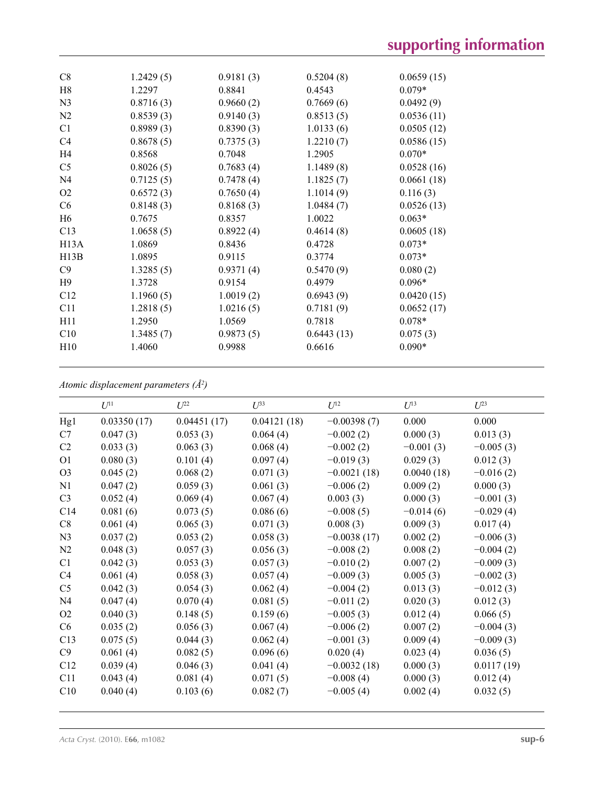| 1.2429(5) | 0.9181(3) | 0.5204(8)  | 0.0659(15) |
|-----------|-----------|------------|------------|
| 1.2297    | 0.8841    | 0.4543     | $0.079*$   |
| 0.8716(3) | 0.9660(2) | 0.7669(6)  | 0.0492(9)  |
| 0.8539(3) | 0.9140(3) | 0.8513(5)  | 0.0536(11) |
| 0.8989(3) | 0.8390(3) | 1.0133(6)  | 0.0505(12) |
| 0.8678(5) | 0.7375(3) | 1.2210(7)  | 0.0586(15) |
| 0.8568    | 0.7048    | 1.2905     | $0.070*$   |
| 0.8026(5) | 0.7683(4) | 1.1489(8)  | 0.0528(16) |
| 0.7125(5) | 0.7478(4) | 1.1825(7)  | 0.0661(18) |
| 0.6572(3) | 0.7650(4) | 1.1014(9)  | 0.116(3)   |
| 0.8148(3) | 0.8168(3) | 1.0484(7)  | 0.0526(13) |
| 0.7675    | 0.8357    | 1.0022     | $0.063*$   |
| 1.0658(5) | 0.8922(4) | 0.4614(8)  | 0.0605(18) |
| 1.0869    | 0.8436    | 0.4728     | $0.073*$   |
| 1.0895    | 0.9115    | 0.3774     | $0.073*$   |
| 1.3285(5) | 0.9371(4) | 0.5470(9)  | 0.080(2)   |
| 1.3728    | 0.9154    | 0.4979     | $0.096*$   |
| 1.1960(5) | 1.0019(2) | 0.6943(9)  | 0.0420(15) |
| 1.2818(5) | 1.0216(5) | 0.7181(9)  | 0.0652(17) |
| 1.2950    | 1.0569    | 0.7818     | $0.078*$   |
| 1.3485(7) | 0.9873(5) | 0.6443(13) | 0.075(3)   |
| 1.4060    | 0.9988    | 0.6616     | $0.090*$   |
|           |           |            |            |

*Atomic displacement parameters (Å2 )*

|                | $U^{11}$    | $U^{22}$    | $I^{\beta}$ | $U^{12}$      | $U^{13}$    | $U^{23}$    |
|----------------|-------------|-------------|-------------|---------------|-------------|-------------|
| Hg1            | 0.03350(17) | 0.04451(17) | 0.04121(18) | $-0.00398(7)$ | 0.000       | 0.000       |
| C7             | 0.047(3)    | 0.053(3)    | 0.064(4)    | $-0.002(2)$   | 0.000(3)    | 0.013(3)    |
| C2             | 0.033(3)    | 0.063(3)    | 0.068(4)    | $-0.002(2)$   | $-0.001(3)$ | $-0.005(3)$ |
| O <sub>1</sub> | 0.080(3)    | 0.101(4)    | 0.097(4)    | $-0.019(3)$   | 0.029(3)    | 0.012(3)    |
| O <sub>3</sub> | 0.045(2)    | 0.068(2)    | 0.071(3)    | $-0.0021(18)$ | 0.0040(18)  | $-0.016(2)$ |
| N1             | 0.047(2)    | 0.059(3)    | 0.061(3)    | $-0.006(2)$   | 0.009(2)    | 0.000(3)    |
| C <sub>3</sub> | 0.052(4)    | 0.069(4)    | 0.067(4)    | 0.003(3)      | 0.000(3)    | $-0.001(3)$ |
| C14            | 0.081(6)    | 0.073(5)    | 0.086(6)    | $-0.008(5)$   | $-0.014(6)$ | $-0.029(4)$ |
| C8             | 0.061(4)    | 0.065(3)    | 0.071(3)    | 0.008(3)      | 0.009(3)    | 0.017(4)    |
| N <sub>3</sub> | 0.037(2)    | 0.053(2)    | 0.058(3)    | $-0.0038(17)$ | 0.002(2)    | $-0.006(3)$ |
| N <sub>2</sub> | 0.048(3)    | 0.057(3)    | 0.056(3)    | $-0.008(2)$   | 0.008(2)    | $-0.004(2)$ |
| C1             | 0.042(3)    | 0.053(3)    | 0.057(3)    | $-0.010(2)$   | 0.007(2)    | $-0.009(3)$ |
| C4             | 0.061(4)    | 0.058(3)    | 0.057(4)    | $-0.009(3)$   | 0.005(3)    | $-0.002(3)$ |
| C <sub>5</sub> | 0.042(3)    | 0.054(3)    | 0.062(4)    | $-0.004(2)$   | 0.013(3)    | $-0.012(3)$ |
| N <sub>4</sub> | 0.047(4)    | 0.070(4)    | 0.081(5)    | $-0.011(2)$   | 0.020(3)    | 0.012(3)    |
| O <sub>2</sub> | 0.040(3)    | 0.148(5)    | 0.159(6)    | $-0.005(3)$   | 0.012(4)    | 0.066(5)    |
| C <sub>6</sub> | 0.035(2)    | 0.056(3)    | 0.067(4)    | $-0.006(2)$   | 0.007(2)    | $-0.004(3)$ |
| C13            | 0.075(5)    | 0.044(3)    | 0.062(4)    | $-0.001(3)$   | 0.009(4)    | $-0.009(3)$ |
| C9             | 0.061(4)    | 0.082(5)    | 0.096(6)    | 0.020(4)      | 0.023(4)    | 0.036(5)    |
| C12            | 0.039(4)    | 0.046(3)    | 0.041(4)    | $-0.0032(18)$ | 0.000(3)    | 0.0117(19)  |
| C11            | 0.043(4)    | 0.081(4)    | 0.071(5)    | $-0.008(4)$   | 0.000(3)    | 0.012(4)    |
| C10            | 0.040(4)    | 0.103(6)    | 0.082(7)    | $-0.005(4)$   | 0.002(4)    | 0.032(5)    |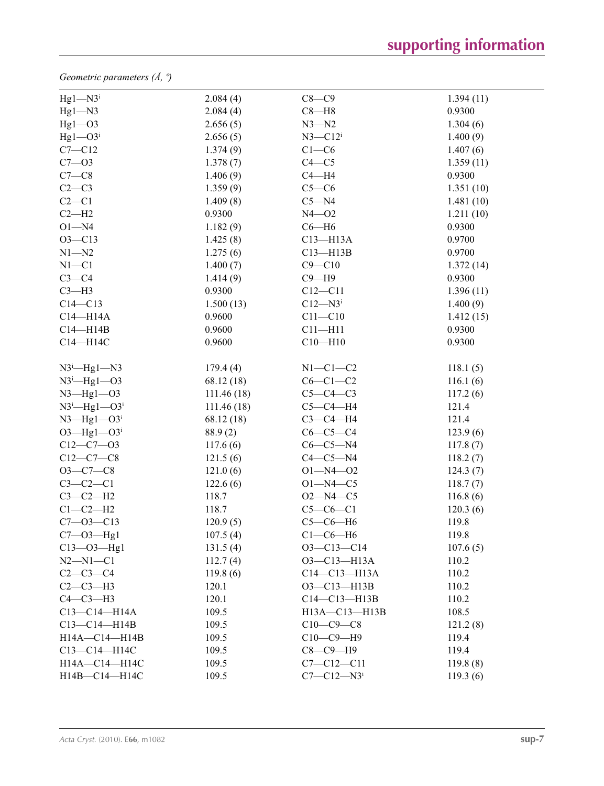*Geometric parameters (Å, º)*

| $Hg1 - N3$ <sup>i</sup>          | 2.084(4)    | $C8-C9$                      | 1.394(11) |  |
|----------------------------------|-------------|------------------------------|-----------|--|
| $Hg1 - N3$                       | 2.084(4)    | $C8 - H8$                    | 0.9300    |  |
| $Hgl$ -O3                        | 2.656(5)    | $N3 - N2$                    | 1.304(6)  |  |
| $Hg1 - O3$ <sup>i</sup>          | 2.656(5)    | $N3 - C12$ <sup>i</sup>      | 1.400(9)  |  |
| $C7 - C12$                       | 1.374(9)    | $C1-C6$                      | 1.407(6)  |  |
| $C7 - 03$                        | 1.378(7)    | $C4 - C5$                    | 1.359(11) |  |
| $C7-C8$                          | 1.406(9)    | $C4 - H4$                    | 0.9300    |  |
| $C2-C3$                          | 1.359(9)    | $C5-C6$                      | 1.351(10) |  |
| $C2-C1$                          | 1.409(8)    | $C5 - N4$                    | 1.481(10) |  |
| $C2-H2$                          | 0.9300      | $N4 - 02$                    | 1.211(10) |  |
| $O1 - N4$                        | 1.182(9)    | $C6 - H6$                    | 0.9300    |  |
| $O3 - C13$                       | 1.425(8)    | $C13 - H13A$                 | 0.9700    |  |
| $N1 - N2$                        | 1.275(6)    | $C13 - H13B$                 | 0.9700    |  |
| $N1 - C1$                        | 1.400(7)    | $C9 - C10$                   | 1.372(14) |  |
| $C3-C4$                          | 1.414(9)    | $C9 - H9$                    | 0.9300    |  |
| $C3-H3$                          | 0.9300      | $C12 - C11$                  | 1.396(11) |  |
| $C14 - C13$                      | 1.500(13)   | $C12 - N3$                   | 1.400(9)  |  |
| $C14 - H14A$                     | 0.9600      | $C11 - C10$                  | 1.412(15) |  |
| $C14 - H14B$                     | 0.9600      | $C11 - H11$                  | 0.9300    |  |
| C14-H14C                         | 0.9600      | $C10 - H10$                  | 0.9300    |  |
|                                  |             |                              |           |  |
| $N3^i$ —Hg1—N3                   | 179.4(4)    | $N1-C1-C2$                   | 118.1(5)  |  |
| $N3^i$ -Hg1--O3                  | 68.12 (18)  | $C6-C1-C2$                   | 116.1(6)  |  |
| $N3$ —Hg $1$ —O3                 | 111.46(18)  | $C5-C4-C3$                   | 117.2(6)  |  |
| $N3^i$ -Hg1- $O3^i$              | 111.46 (18) | $C5-C4-H4$                   | 121.4     |  |
| $N3$ —Hg $1$ —O3 <sup>i</sup>    | 68.12 (18)  | $C3-C4-H4$                   | 121.4     |  |
| $O3$ —Hg $1$ — $O3$ <sup>i</sup> | 88.9(2)     | $C6-C5-C4$                   | 123.9(6)  |  |
| $C12 - C7 - O3$                  | 117.6(6)    | $C6-C5-N4$                   | 117.8(7)  |  |
| $C12-C7-C8$                      | 121.5(6)    | $C4-C5-N4$                   | 118.2(7)  |  |
| $O3-C7-C8$                       | 121.0(6)    | $O1 - N4 - O2$               | 124.3(7)  |  |
| $C3-C2-C1$                       | 122.6(6)    | $O1 - N4 - C5$               | 118.7(7)  |  |
| $C3-C2-H2$                       | 118.7       | $O2 - N4 - C5$               | 116.8(6)  |  |
| $C1-C2-H2$                       | 118.7       | $C5-C6-C1$                   | 120.3(6)  |  |
| $C7 - 03 - C13$                  | 120.9(5)    | $C5-C6-H6$                   | 119.8     |  |
| $C7 - O3 - Hg1$                  | 107.5(4)    | $C1-C6-H6$                   | 119.8     |  |
| $C13 - O3 - Hg1$                 | 131.5(4)    | $O3 - C13 - C14$             | 107.6(5)  |  |
| $N2 - N1 - C1$                   | 112.7(4)    | O3-C13-H13A                  | 110.2     |  |
| $C2 - C3 - C4$                   | 119.8(6)    | $C14-C13-H13A$               | 110.2     |  |
| $C2-C3-H3$                       | 120.1       | $O3 - C13 - H13B$            | 110.2     |  |
| $C4-C3-H3$                       | 120.1       | $C14-C13-H13B$               | 110.2     |  |
| $C13-C14-H14A$                   | 109.5       | H13A-C13-H13B                | 108.5     |  |
| $C13 - C14 - H14B$               | 109.5       | $C10-C9-C8$                  | 121.2(8)  |  |
| H14A-C14-H14B                    | 109.5       | $C10-C9-H9$                  | 119.4     |  |
| C13-C14-H14C                     | 109.5       | $C8-C9-H9$                   | 119.4     |  |
| H14A-C14-H14C                    | 109.5       | $C7 - C12 - C11$             | 119.8(8)  |  |
| H14B-C14-H14C                    | 109.5       | $C7 - C12 - N3$ <sup>i</sup> | 119.3(6)  |  |